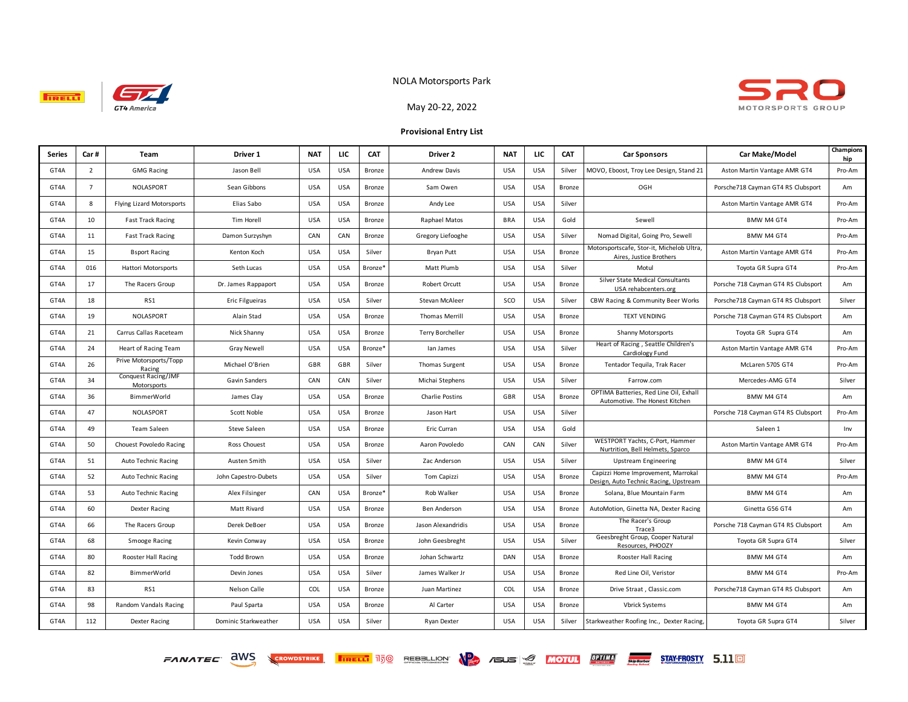

**TRELL!** 

## NOLA Motorsports Park



May 20-22, 2022

## **Provisional Entry List**

| <b>Series</b> | Car#           | Team                               | Driver 1             | <b>NAT</b> | LIC        | <b>CAT</b>          | Driver 2                | <b>NAT</b> | ЦC         | CAT           | <b>Car Sponsors</b>                                                         | Car Make/Model                      | Champions<br>hip |
|---------------|----------------|------------------------------------|----------------------|------------|------------|---------------------|-------------------------|------------|------------|---------------|-----------------------------------------------------------------------------|-------------------------------------|------------------|
| GT4A          | $\overline{2}$ | <b>GMG Racing</b>                  | Jason Bell           | <b>USA</b> | <b>USA</b> | Bronze              | Andrew Davis            | <b>USA</b> | <b>USA</b> | Silver        | MOVO, Eboost, Troy Lee Design, Stand 21                                     | Aston Martin Vantage AMR GT4        | Pro-Am           |
| GT4A          | $\overline{7}$ | NOLASPORT                          | Sean Gibbons         | <b>USA</b> | <b>USA</b> | Bronze              | Sam Owen                | <b>USA</b> | <b>USA</b> | Bronze        | OGH                                                                         | Porsche718 Cayman GT4 RS Clubsport  | Am               |
| GT4A          | 8              | Flying Lizard Motorsports          | Elias Sabo           | <b>USA</b> | <b>USA</b> | Bronze              | Andy Lee                | <b>USA</b> | <b>USA</b> | Silver        |                                                                             | Aston Martin Vantage AMR GT4        | Pro-Am           |
| GT4A          | 10             | <b>Fast Track Racing</b>           | Tim Horell           | <b>USA</b> | <b>USA</b> | Bronze              | Raphael Matos           | <b>BRA</b> | <b>USA</b> | Gold          | Sewell                                                                      | BMW M4 GT4                          | Pro-Am           |
| GT4A          | 11             | <b>Fast Track Racing</b>           | Damon Surzyshyn      | CAN        | CAN        | Bronze              | Gregory Liefooghe       | <b>USA</b> | <b>USA</b> | Silver        | Nomad Digital, Going Pro, Sewell                                            | BMW M4 GT4                          | Pro-Am           |
| GT4A          | 15             | <b>Bsport Racing</b>               | Kenton Koch          | <b>USA</b> | <b>USA</b> | Silver              | Bryan Putt              | <b>USA</b> | <b>USA</b> | Bronze        | Motorsportscafe, Stor-it, Michelob Ultra,<br>Aires, Justice Brothers        | Aston Martin Vantage AMR GT4        | Pro-Am           |
| GT4A          | 016            | Hattori Motorsports                | Seth Lucas           | <b>USA</b> | <b>USA</b> | Bronze <sup>®</sup> | Matt Plumb              | <b>USA</b> | <b>USA</b> | Silver        | Motul                                                                       | Toyota GR Supra GT4                 | Pro-Am           |
| GT4A          | 17             | The Racers Group                   | Dr. James Rappaport  | <b>USA</b> | <b>USA</b> | Bronze              | Robert Orcutt           | <b>USA</b> | <b>USA</b> | Bronze        | Silver State Medical Consultants<br>USA rehabcenters.org                    | Porsche 718 Cayman GT4 RS Clubsport | Am               |
| GT4A          | 18             | RS1                                | Eric Filgueiras      | <b>USA</b> | <b>USA</b> | Silver              | Stevan McAleer          | SCO        | <b>USA</b> | Silver        | CBW Racing & Community Beer Works                                           | Porsche718 Cayman GT4 RS Clubsport  | Silver           |
| GT4A          | 19             | NOLASPORT                          | Alain Stad           | <b>USA</b> | <b>USA</b> | Bronze              | <b>Thomas Merrill</b>   | <b>USA</b> | <b>USA</b> | Bronze        | <b>TEXT VENDING</b>                                                         | Porsche 718 Cayman GT4 RS Clubsport | Am               |
| GT4A          | 21             | Carrus Callas Raceteam             | Nick Shanny          | <b>USA</b> | <b>USA</b> | Bronze              | <b>Terry Borcheller</b> | <b>USA</b> | <b>USA</b> | Bronze        | <b>Shanny Motorsports</b>                                                   | Toyota GR Supra GT4                 | Am               |
| GT4A          | 24             | Heart of Racing Team               | <b>Gray Newell</b>   | <b>USA</b> | <b>USA</b> | Bronze <sup>®</sup> | lan James               | <b>USA</b> | <b>USA</b> | Silver        | Heart of Racing, Seattle Children's<br>Cardiology Fund                      | Aston Martin Vantage AMR GT4        | Pro-Am           |
| GT4A          | 26             | Prive Motorsports/Topp<br>Racing   | Michael O'Brien      | GBR        | GBR        | Silver              | <b>Thomas Surgent</b>   | <b>USA</b> | <b>USA</b> | Bronze        | Tentador Tequila, Trak Racer                                                | McLaren 570S GT4                    | Pro-Am           |
| GT4A          | 34             | Conquest Racing/JMF<br>Motorsports | Gavin Sanders        | CAN        | CAN        | Silver              | Michai Stephens         | <b>USA</b> | <b>USA</b> | Silver        | Farrow.com                                                                  | Mercedes-AMG GT4                    | Silver           |
| GT4A          | 36             | BimmerWorld                        | James Clay           | <b>USA</b> | <b>USA</b> | Bronze              | <b>Charlie Postins</b>  | GBR        | <b>USA</b> | <b>Bronze</b> | OPTIMA Batteries, Red Line Oil, Exhall<br>Automotive. The Honest Kitchen    | BMW M4 GT4                          | Am               |
| GT4A          | 47             | NOLASPORT                          | Scott Noble          | <b>USA</b> | <b>USA</b> | Bronze              | Jason Hart              | <b>USA</b> | <b>USA</b> | Silver        |                                                                             | Porsche 718 Cayman GT4 RS Clubsport | Pro-Am           |
| GT4A          | 49             | Team Saleen                        | <b>Steve Saleen</b>  | <b>USA</b> | <b>USA</b> | <b>Bronze</b>       | Eric Curran             | <b>USA</b> | <b>USA</b> | Gold          |                                                                             | Saleen 1                            | Inv              |
| GT4A          | 50             | Chouest Povoledo Racing            | Ross Chouest         | <b>USA</b> | <b>USA</b> | Bronze              | Aaron Povoledo          | CAN        | CAN        | Silver        | WESTPORT Yachts, C-Port, Hammer<br>Nurtrition, Bell Helmets, Sparco         | Aston Martin Vantage AMR GT4        | Pro-Am           |
| GT4A          | 51             | Auto Technic Racing                | Austen Smith         | <b>USA</b> | <b>USA</b> | Silver              | Zac Anderson            | <b>USA</b> | <b>USA</b> | Silver        | <b>Upstream Engineering</b>                                                 | BMW M4 GT4                          | Silver           |
| GT4A          | 52             | Auto Technic Racing                | John Capestro-Dubets | <b>USA</b> | <b>USA</b> | Silver              | Tom Capizzi             | <b>USA</b> | <b>USA</b> | Bronze        | Capizzi Home Improvement, Marrokal<br>Design, Auto Technic Racing, Upstream | BMW M4 GT4                          | Pro-Am           |
| GT4A          | 53             | <b>Auto Technic Racing</b>         | Alex Filsinger       | CAN        | <b>USA</b> | Bronze*             | Rob Walker              | <b>USA</b> | <b>USA</b> | Bronze        | Solana, Blue Mountain Farm                                                  | BMW M4 GT4                          | Am               |
| GT4A          | 60             | <b>Dexter Racing</b>               | Matt Rivard          | <b>USA</b> | <b>USA</b> | Bronze              | Ben Anderson            | <b>USA</b> | <b>USA</b> | Bronze        | AutoMotion, Ginetta NA, Dexter Racing                                       | Ginetta G56 GT4                     | Am               |
| GT4A          | 66             | The Racers Group                   | Derek DeBoer         | <b>USA</b> | <b>USA</b> | Bronze              | Jason Alexandridis      | <b>USA</b> | <b>USA</b> | Bronze        | The Racer's Group<br>Trace3                                                 | Porsche 718 Cayman GT4 RS Clubsport | Am               |
| GT4A          | 68             | Smooge Racing                      | Kevin Conway         | <b>USA</b> | <b>USA</b> | Bronze              | John Geesbreght         | <b>USA</b> | <b>USA</b> | Silver        | Geesbreght Group, Cooper Natural<br>Resources, PHOOZY                       | Toyota GR Supra GT4                 | Silver           |
| GT4A          | 80             | Rooster Hall Racing                | <b>Todd Brown</b>    | <b>USA</b> | <b>USA</b> | Bronze              | Johan Schwartz          | DAN        | <b>USA</b> | Bronze        | Rooster Hall Racing                                                         | BMW M4 GT4                          | Am               |
| GT4A          | 82             | BimmerWorld                        | Devin Jones          | <b>USA</b> | <b>USA</b> | Silver              | James Walker Jr         | <b>USA</b> | <b>USA</b> | Bronze        | Red Line Oil, Veristor                                                      | BMW M4 GT4                          | Pro-Am           |
| GT4A          | 83             | RS1                                | <b>Nelson Calle</b>  | COL        | <b>USA</b> | Bronze              | Juan Martinez           | COL        | <b>USA</b> | Bronze        | Drive Straat, Classic.com                                                   | Porsche718 Cayman GT4 RS Clubsport  | Am               |
| GT4A          | 98             | Random Vandals Racing              | Paul Sparta          | <b>USA</b> | <b>USA</b> | Bronze              | Al Carter               | <b>USA</b> | <b>USA</b> | Bronze        | <b>Vbrick Systems</b>                                                       | BMW M4 GT4                          | Am               |
| GT4A          | 112            | <b>Dexter Racing</b>               | Dominic Starkweather | <b>USA</b> | <b>USA</b> | Silver              | <b>Ryan Dexter</b>      | <b>USA</b> | <b>USA</b> | Silver        | Starkweather Roofing Inc., Dexter Racing,                                   | Toyota GR Supra GT4                 | Silver           |